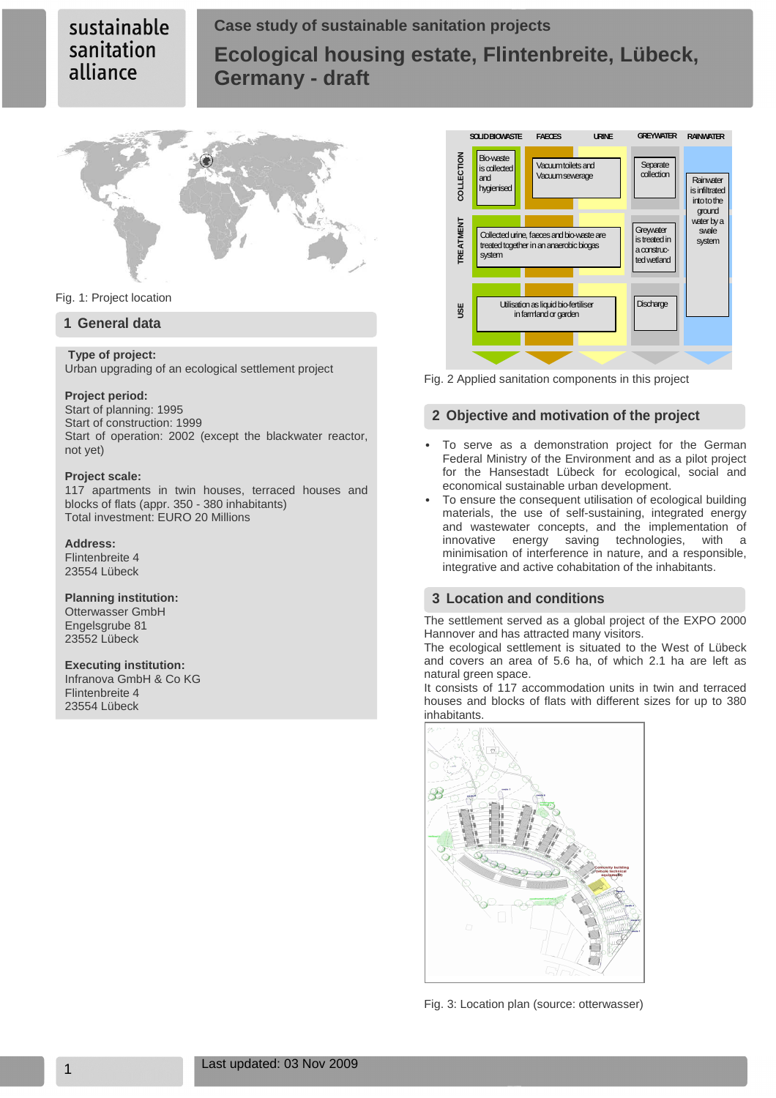# **Case study of sustainable sanitation projects Ecological housing estate, Flintenbreite, Lübeck, Germany - draft**



Fig. 1: Project location

### **1 General data**

#### **Type of project:** Urban upgrading of an ecological settlement project

#### **Project period:**

Start of planning: 1995 Start of construction: 1999 Start of operation: 2002 (except the blackwater reactor, not yet)

#### **Project scale:**

117 apartments in twin houses, terraced houses and blocks of flats (appr. 350 - 380 inhabitants) Total investment: EURO 20 Millions

#### **Address:**

Flintenbreite 4 23554 Lübeck

#### **Planning institution:**

Otterwasser GmbH Engelsgrube 81 23552 Lübeck

#### **Executing institution:**

Infranova GmbH & Co KG Flintenbreite 4 23554 Lübeck



Fig. 2 Applied sanitation components in this project

### **2 Objective and motivation of the project**

- To serve as a demonstration project for the German Federal Ministry of the Environment and as a pilot project for the Hansestadt Lübeck for ecological, social and economical sustainable urban development.
- To ensure the consequent utilisation of ecological building materials, the use of self-sustaining, integrated energy and wastewater concepts, and the implementation of innovative energy saving technologies, with a minimisation of interference in nature, and a responsible, integrative and active cohabitation of the inhabitants.

### **3 Location and conditions**

The settlement served as a global project of the EXPO 2000 Hannover and has attracted many visitors.

The ecological settlement is situated to the West of Lübeck and covers an area of 5.6 ha, of which 2.1 ha are left as natural green space.

It consists of 117 accommodation units in twin and terraced houses and blocks of flats with different sizes for up to 380 inhabitants.



Fig. 3: Location plan (source: otterwasser)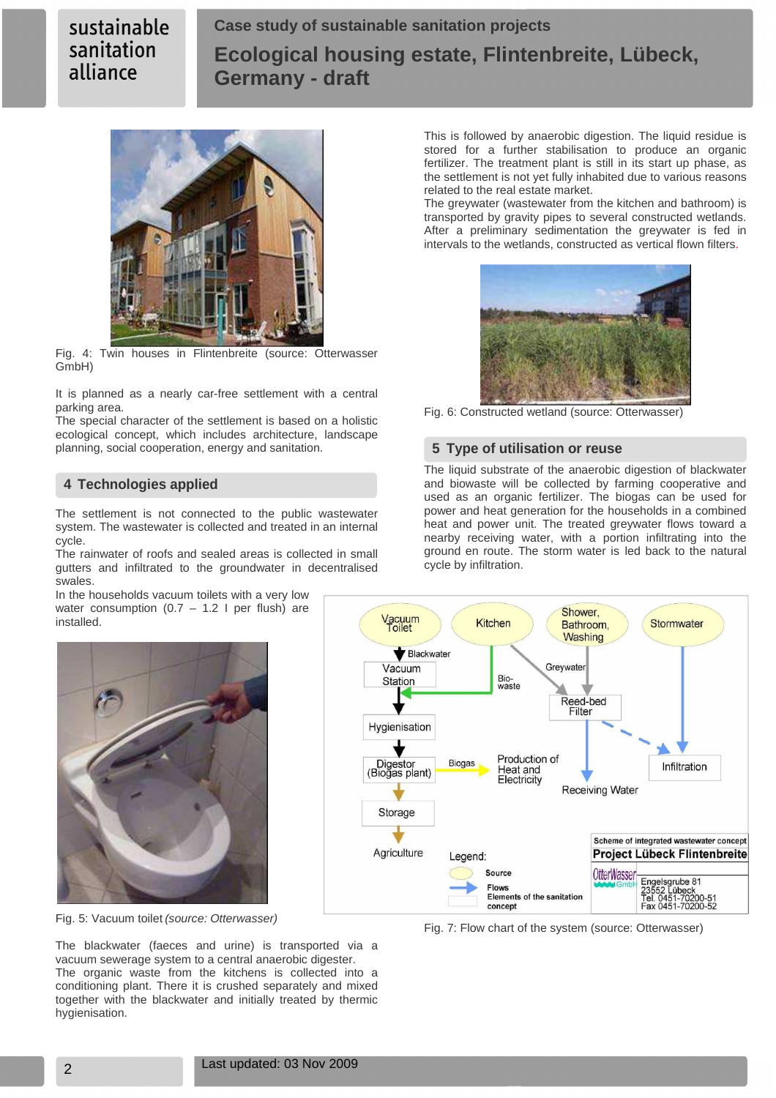# **Case study of sustainable sanitation projects Ecological housing estate, Flintenbreite, Lübeck, Germany - draft**



Fig. 4: Twin houses in Flintenbreite (source: Otterwasser GmbH)

It is planned as a nearly car-free settlement with a central parking area.

The special character of the settlement is based on a holistic ecological concept, which includes architecture, landscape planning, social cooperation, energy and sanitation.

## **4 Technologies applied**

The settlement is not connected to the public wastewater system. The wastewater is collected and treated in an internal cycle.

The rainwater of roofs and sealed areas is collected in small gutters and infiltrated to the groundwater in decentralised swales.

In the households vacuum toilets with a very low water consumption  $(0.7 - 1.2)$  per flush) are installed.



Shower Vacuum<br>Toilet Kitchen Stormwater Bathroom, Washing Blackwater Greywater Vacuum Bio-<br>waste Station Reed-bed<br>Filter Hygienisation Production of Digestor<br>(Biogas plant) **Biogas** Infiltration Heat and Electricity **Receiving Water** Storage Scheme of integrated wastewater concept Agriculture Project Lübeck Flintenbreite Legend: Source **OtterWasser** Engelsgrube 81<br>23552 Lübeck<br>Tel. 0451-70200-51<br>Fax 0451-70200-52 **Flows** Elements of the sanitation concept

Fig. 7: Flow chart of the system (source: Otterwasser)

This is followed by anaerobic digestion. The liquid residue is stored for a further stabilisation to produce an organic fertilizer. The treatment plant is still in its start up phase, as the settlement is not yet fully inhabited due to various reasons related to the real estate market.

The greywater (wastewater from the kitchen and bathroom) is transported by gravity pipes to several constructed wetlands. After a preliminary sedimentation the greywater is fed in intervals to the wetlands, constructed as vertical flown filters.



Fig. 6: Constructed wetland (source: Otterwasser)

## **5 Type of utilisation or reuse**

The liquid substrate of the anaerobic digestion of blackwater and biowaste will be collected by farming cooperative and used as an organic fertilizer. The biogas can be used for power and heat generation for the households in a combined heat and power unit. The treated greywater flows toward a nearby receiving water, with a portion infiltrating into the ground en route. The storm water is led back to the natural cycle by infiltration.



The blackwater (faeces and urine) is transported via a vacuum sewerage system to a central anaerobic digester. The organic waste from the kitchens is collected into a conditioning plant. There it is crushed separately and mixed together with the blackwater and initially treated by thermic hygienisation.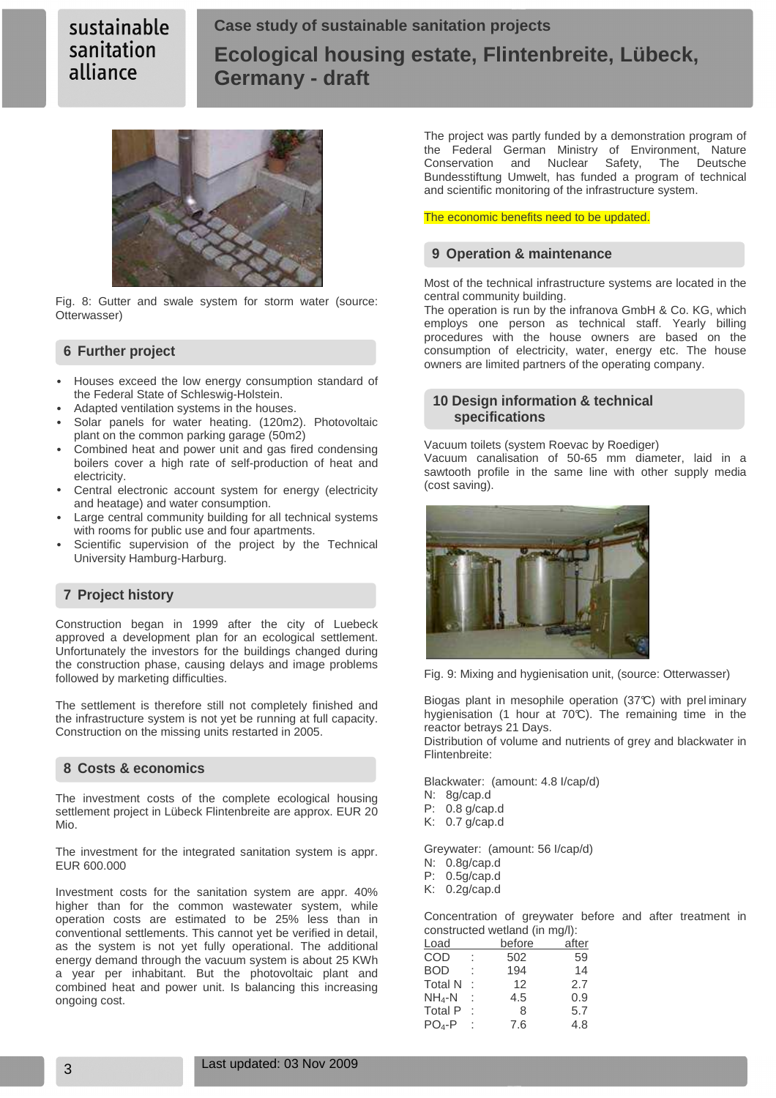# **Case study of sustainable sanitation projects Ecological housing estate, Flintenbreite, Lübeck, Germany - draft**



Fig. 8: Gutter and swale system for storm water (source: Otterwasser)

#### **6 Further project**

- Houses exceed the low energy consumption standard of the Federal State of Schleswig-Holstein.
- Adapted ventilation systems in the houses.
- Solar panels for water heating. (120m2). Photovoltaic plant on the common parking garage (50m2)
- Combined heat and power unit and gas fired condensing boilers cover a high rate of self-production of heat and electricity.
- Central electronic account system for energy (electricity and heatage) and water consumption.
- Large central community building for all technical systems with rooms for public use and four apartments.
- Scientific supervision of the project by the Technical University Hamburg-Harburg.

### **7 Project history**

Construction began in 1999 after the city of Luebeck approved a development plan for an ecological settlement. Unfortunately the investors for the buildings changed during the construction phase, causing delays and image problems followed by marketing difficulties.

The settlement is therefore still not completely finished and the infrastructure system is not yet be running at full capacity. Construction on the missing units restarted in 2005.

#### **8 Costs & economics**

The investment costs of the complete ecological housing settlement project in Lübeck Flintenbreite are approx. EUR 20 Mio.

The investment for the integrated sanitation system is appr. EUR 600.000

Investment costs for the sanitation system are appr. 40% higher than for the common wastewater system, while operation costs are estimated to be 25% less than in conventional settlements. This cannot yet be verified in detail, as the system is not yet fully operational. The additional energy demand through the vacuum system is about 25 KWh a year per inhabitant. But the photovoltaic plant and combined heat and power unit. Is balancing this increasing ongoing cost.

The project was partly funded by a demonstration program of the Federal German Ministry of Environment, Nature Conservation and Nuclear Safety, The Deutsche Bundesstiftung Umwelt, has funded a program of technical and scientific monitoring of the infrastructure system.

The economic benefits need to be updated.

#### **9 Operation & maintenance**

Most of the technical infrastructure systems are located in the central community building.

The operation is run by the infranova GmbH & Co. KG, which employs one person as technical staff. Yearly billing procedures with the house owners are based on the consumption of electricity, water, energy etc. The house owners are limited partners of the operating company.

#### **10 Design information & technical specifications**

Vacuum toilets (system Roevac by Roediger)

Vacuum canalisation of 50-65 mm diameter, laid in a sawtooth profile in the same line with other supply media (cost saving).



Fig. 9: Mixing and hygienisation unit, (source: Otterwasser)

Biogas plant in mesophile operation (37°C) with prel iminary hygienisation (1 hour at 70°C). The remaining time in the reactor betrays 21 Days.

Distribution of volume and nutrients of grey and blackwater in Flintenbreite:

Blackwater: (amount: 4.8 I/cap/d)

- N: 8g/cap.d
- P: 0.8 g/cap.d
- K: 0.7 g/cap.d

Greywater: (amount: 56 I/cap/d)

- N: 0.8g/cap.d
- P: 0.5g/cap.d
- K: 0.2g/cap.d

Concentration of greywater before and after treatment in constructed wetland (in mg/l):

| Load           |   | before | after |
|----------------|---|--------|-------|
| COD            |   | 502    | 59    |
| <b>BOD</b>     | t | 194    | 14    |
| <b>Total N</b> | ۰ | 12     | 2.7   |
| $NH_4-N$       | İ | 4.5    | 0.9   |
| <b>Total P</b> |   | 8      | 5.7   |
| $PO4-P$        | ٠ | 7.6    | 4.8   |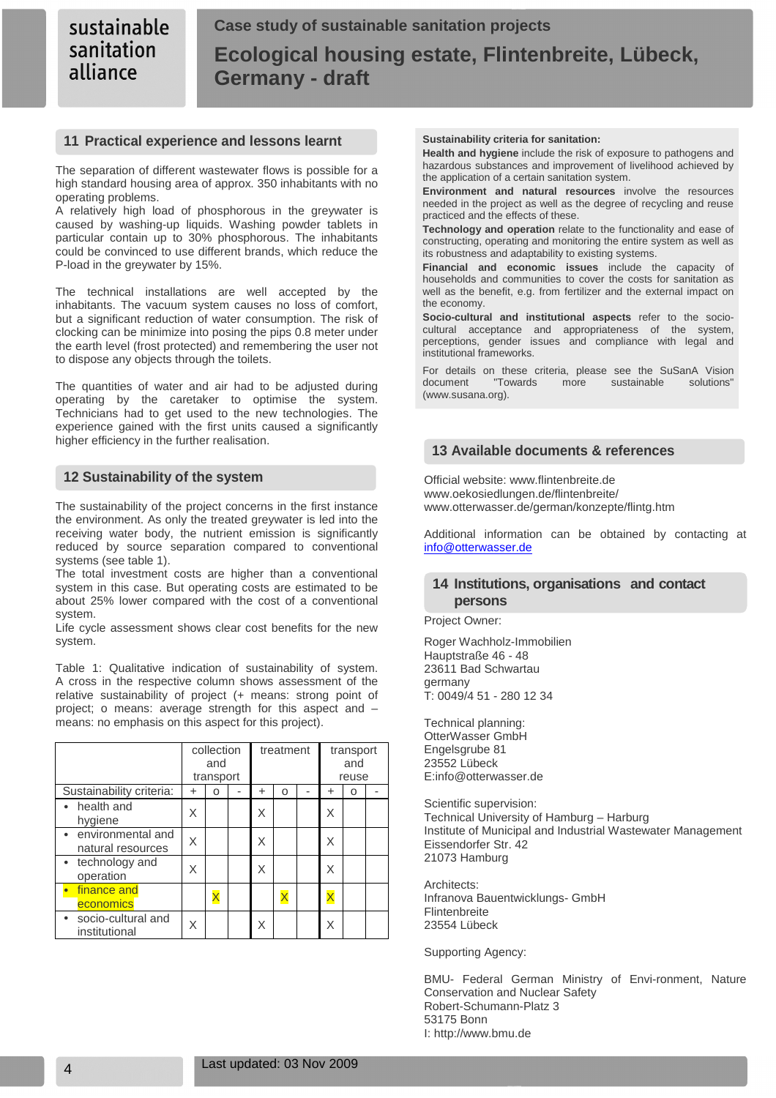## **11 Practical experience and lessons learnt**

The separation of different wastewater flows is possible for a high standard housing area of approx. 350 inhabitants with no operating problems.

A relatively high load of phosphorous in the greywater is caused by washing-up liquids. Washing powder tablets in particular contain up to 30% phosphorous. The inhabitants could be convinced to use different brands, which reduce the P-load in the greywater by 15%.

The technical installations are well accepted by the inhabitants. The vacuum system causes no loss of comfort, but a significant reduction of water consumption. The risk of clocking can be minimize into posing the pips 0.8 meter under the earth level (frost protected) and remembering the user not to dispose any objects through the toilets.

The quantities of water and air had to be adjusted during operating by the caretaker to optimise the system. Technicians had to get used to the new technologies. The experience gained with the first units caused a significantly higher efficiency in the further realisation.

## **12 Sustainability of the system**

The sustainability of the project concerns in the first instance the environment. As only the treated greywater is led into the receiving water body, the nutrient emission is significantly reduced by source separation compared to conventional systems (see table 1).

The total investment costs are higher than a conventional system in this case. But operating costs are estimated to be about 25% lower compared with the cost of a conventional system.

Life cycle assessment shows clear cost benefits for the new system.

Table 1: Qualitative indication of sustainability of system. A cross in the respective column shows assessment of the relative sustainability of project (+ means: strong point of project; o means: average strength for this aspect and – means: no emphasis on this aspect for this project).

|                                        | collection<br>and<br>transport |          | treatment |   | transport<br>and<br>reuse |  |   |   |  |
|----------------------------------------|--------------------------------|----------|-----------|---|---------------------------|--|---|---|--|
| Sustainability criteria:               | ÷                              | ი        |           | + | ი                         |  | + | O |  |
| • health and<br>hygiene                | Χ                              |          |           | Χ |                           |  | X |   |  |
| environmental and<br>natural resources |                                |          |           | X |                           |  | X |   |  |
| technology and<br>operation            |                                |          |           | X |                           |  | X |   |  |
| finance and<br>economics               |                                | $\times$ |           |   |                           |  | X |   |  |
| socio-cultural and<br>institutional    | Χ                              |          |           | X |                           |  | X |   |  |

#### **Sustainability criteria for sanitation:**

**Health and hygiene** include the risk of exposure to pathogens and hazardous substances and improvement of livelihood achieved by the application of a certain sanitation system.

**Environment and natural resources** involve the resources needed in the project as well as the degree of recycling and reuse practiced and the effects of these.

**Technology and operation** relate to the functionality and ease of constructing, operating and monitoring the entire system as well as its robustness and adaptability to existing systems.

**Financial and economic issues** include the capacity of households and communities to cover the costs for sanitation as well as the benefit, e.g. from fertilizer and the external impact on the economy.

**Socio-cultural and institutional aspects** refer to the sociocultural acceptance and appropriateness of the system, perceptions, gender issues and compliance with legal and institutional frameworks.

For details on these criteria, please see the SuSanA Vision document "Towards more sustainable solutions" (www.susana.org).

## **13 Available documents & references**

Official website: www.flintenbreite.de www.oekosiedlungen.de/flintenbreite/ www.otterwasser.de/german/konzepte/flintg.htm

Additional information can be obtained by contacting at info@otterwasser.de

## **14 Institutions, organisations and contact persons**

Project Owner:

Roger Wachholz-Immobilien Hauptstraße 46 - 48 23611 Bad Schwartau germany T: 0049/4 51 - 280 12 34

Technical planning: OtterWasser GmbH Engelsgrube 81 23552 Lübeck E:info@otterwasser.de

Scientific supervision: Technical University of Hamburg – Harburg Institute of Municipal and Industrial Wastewater Management Eissendorfer Str. 42 21073 Hamburg

Architects: Infranova Bauentwicklungs- GmbH Flintenbreite 23554 Lübeck

Supporting Agency:

BMU- Federal German Ministry of Envi-ronment, Nature Conservation and Nuclear Safety Robert-Schumann-Platz 3 53175 Bonn I: http://www.bmu.de